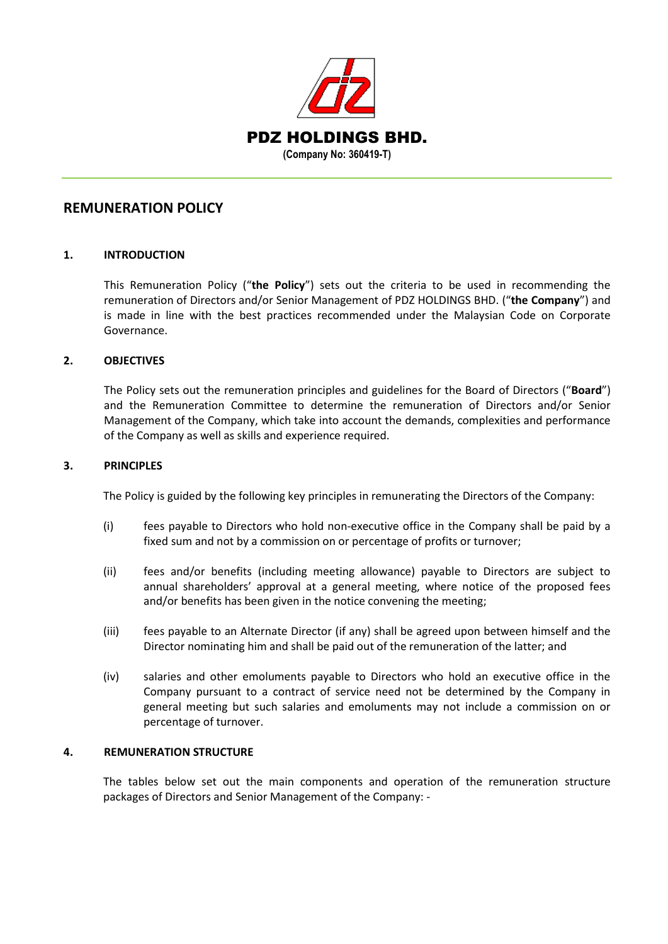

## **REMUNERATION POLICY**

### **1. INTRODUCTION**

This Remuneration Policy ("**the Policy**") sets out the criteria to be used in recommending the remuneration of Directors and/or Senior Management of PDZ HOLDINGS BHD. ("**the Company**") and is made in line with the best practices recommended under the Malaysian Code on Corporate Governance.

### **2. OBJECTIVES**

The Policy sets out the remuneration principles and guidelines for the Board of Directors ("**Board**") and the Remuneration Committee to determine the remuneration of Directors and/or Senior Management of the Company, which take into account the demands, complexities and performance of the Company as well as skills and experience required.

### **3. PRINCIPLES**

The Policy is guided by the following key principles in remunerating the Directors of the Company:

- (i) fees payable to Directors who hold non-executive office in the Company shall be paid by a fixed sum and not by a commission on or percentage of profits or turnover;
- (ii) fees and/or benefits (including meeting allowance) payable to Directors are subject to annual shareholders' approval at a general meeting, where notice of the proposed fees and/or benefits has been given in the notice convening the meeting;
- (iii) fees payable to an Alternate Director (if any) shall be agreed upon between himself and the Director nominating him and shall be paid out of the remuneration of the latter; and
- (iv) salaries and other emoluments payable to Directors who hold an executive office in the Company pursuant to a contract of service need not be determined by the Company in general meeting but such salaries and emoluments may not include a commission on or percentage of turnover.

#### **4. REMUNERATION STRUCTURE**

The tables below set out the main components and operation of the remuneration structure packages of Directors and Senior Management of the Company: -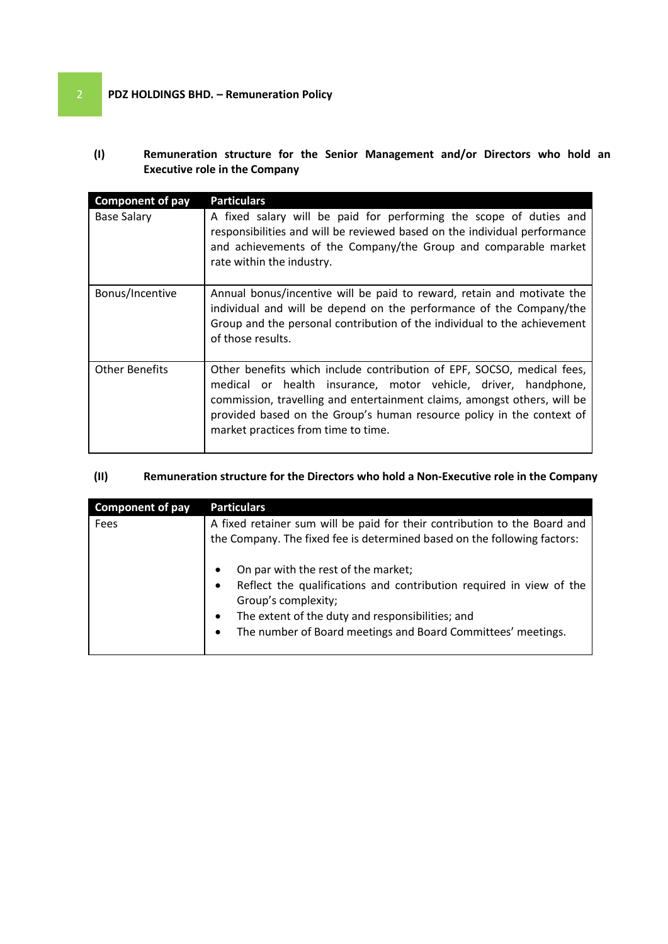# 2 **PDZ HOLDINGS BHD. – Remuneration Policy**

**(I) Remuneration structure for the Senior Management and/or Directors who hold an Executive role in the Company**

| <b>Component of pay</b> | <b>Particulars</b>                                                                                                                                                                                                                                                                                                                   |
|-------------------------|--------------------------------------------------------------------------------------------------------------------------------------------------------------------------------------------------------------------------------------------------------------------------------------------------------------------------------------|
| <b>Base Salary</b>      | A fixed salary will be paid for performing the scope of duties and<br>responsibilities and will be reviewed based on the individual performance<br>and achievements of the Company/the Group and comparable market<br>rate within the industry.                                                                                      |
| Bonus/Incentive         | Annual bonus/incentive will be paid to reward, retain and motivate the<br>individual and will be depend on the performance of the Company/the<br>Group and the personal contribution of the individual to the achievement<br>of those results.                                                                                       |
| <b>Other Benefits</b>   | Other benefits which include contribution of EPF, SOCSO, medical fees,<br>medical or health insurance, motor vehicle, driver, handphone,<br>commission, travelling and entertainment claims, amongst others, will be<br>provided based on the Group's human resource policy in the context of<br>market practices from time to time. |

## **(II) Remuneration structure for the Directors who hold a Non-Executive role in the Company**

| <b>Component of pay</b> | <b>Particulars</b>                                                                                                                                                                                                                                                                                                                                                                                                          |
|-------------------------|-----------------------------------------------------------------------------------------------------------------------------------------------------------------------------------------------------------------------------------------------------------------------------------------------------------------------------------------------------------------------------------------------------------------------------|
| Fees                    | A fixed retainer sum will be paid for their contribution to the Board and<br>the Company. The fixed fee is determined based on the following factors:<br>On par with the rest of the market;<br>Reflect the qualifications and contribution required in view of the<br>Group's complexity;<br>The extent of the duty and responsibilities; and<br>$\bullet$<br>The number of Board meetings and Board Committees' meetings. |